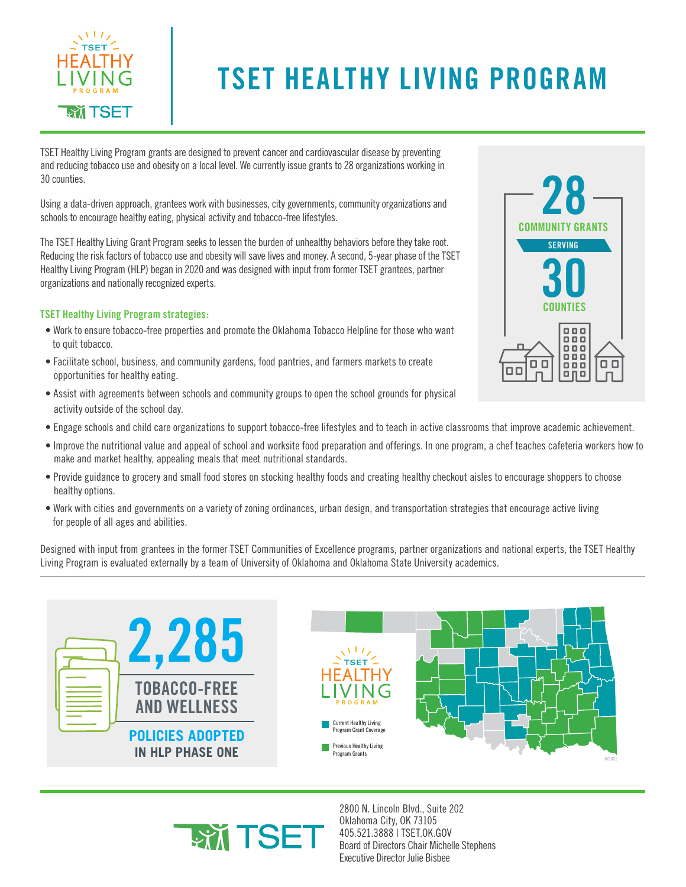

## **TSET HEALTHY LIVING PROGRAM**

TSET Healthy Living Program grants are designed to prevent cancer and cardiovascular disease by preventing and reducing tobacco use and obesity on a local level. We currently issue grants to 28 organizations working in 30 counties.

Using a data-driven approach, grantees work with businesses, city governments, community organizations and schools to encourage healthy eating, physical activity and tobacco-free lifestyles.

The TSET Healthy Living Grant Program seeks to lessen the burden of unhealthy behaviors before they take root. Reducing the risk factors of tobacco use and obesity will save lives and money. A second, 5-year phase of the TSET Healthy Living Program (HLP) began in 2020 and was designed with input from former TSET grantees, partner organizations and nationally recognized experts.

## **TSET Healthy Living Program strategies:**

- Work to ensure tobacco-free properties and promote the Oklahoma Tobacco Helpline for those who want to quit tobacco.
- Facilitate school, business, and community gardens, food pantries, and farmers markets to create opportunities for healthy eating.
- Assist with agreements between schools and community groups to open the school grounds for physical activity outside of the school day.
- Engage schools and child care organizations to support tobacco-free lifestyles and to teach in active classrooms that improve academic achievement.
- Improve the nutritional value and appeal of school and worksite food preparation and offerings. In one program, a chef teaches cafeteria workers how to make and market healthy, appealing meals that meet nutritional standards.
- Provide guidance to grocery and small food stores on stocking healthy foods and creating healthy checkout aisles to encourage shoppers to choose healthy options.
- Work with cities and governments on a variety of zoning ordinances, urban design, and transportation strategies that encourage active living for people of all ages and abilities.

Designed with input from grantees in the former TSET Communities of Excellence programs, partner organizations and national experts, the TSET Healthy Living Program is evaluated externally by a team of University of Oklahoma and Oklahoma State University academics.





2800 N. Lincoln Blvd., Suite 202 Oklahoma City, OK 73105 405.521.3888 | TSET.OK.GOV Board of Directors Chair Michelle Stephens Executive Director Julie Bisbee